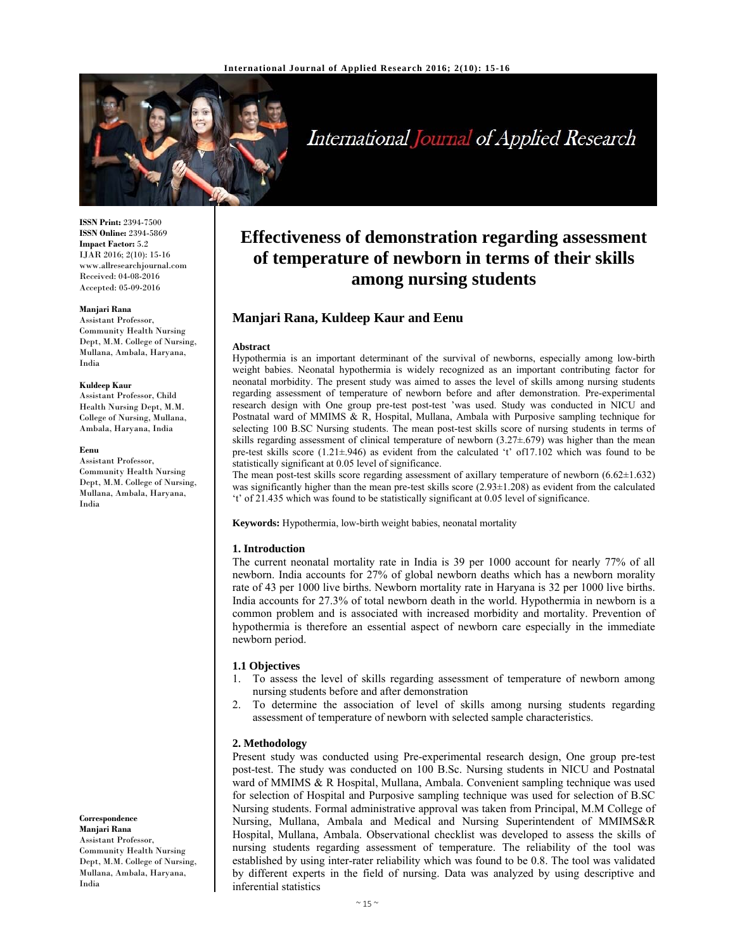

# International Journal of Applied Research

**ISSN Print:** 2394-7500 **ISSN Online:** 2394-5869 **Impact Factor:** 5.2 IJAR 2016; 2(10): 15-16 www.allresearchjournal.com Received: 04-08-2016 Accepted: 05-09-2016

#### **Manjari Rana**

Assistant Professor, Community Health Nursing Dept, M.M. College of Nursing, Mullana, Ambala, Haryana, India

#### **Kuldeep Kaur**

Assistant Professor, Child Health Nursing Dept, M.M. College of Nursing, Mullana, Ambala, Haryana, India

#### **Eenu**

Assistant Professor, Community Health Nursing Dept, M.M. College of Nursing, Mullana, Ambala, Haryana, India

**Correspondence Manjari Rana**  Assistant Professor, Community Health Nursing Dept, M.M. College of Nursing, Mullana, Ambala, Haryana,

India

**Effectiveness of demonstration regarding assessment of temperature of newborn in terms of their skills among nursing students**

# **Manjari Rana, Kuldeep Kaur and Eenu**

## **Abstract**

Hypothermia is an important determinant of the survival of newborns, especially among low-birth weight babies. Neonatal hypothermia is widely recognized as an important contributing factor for neonatal morbidity. The present study was aimed to asses the level of skills among nursing students regarding assessment of temperature of newborn before and after demonstration. Pre-experimental research design with One group pre-test post-test 'was used. Study was conducted in NICU and Postnatal ward of MMIMS & R, Hospital, Mullana, Ambala with Purposive sampling technique for selecting 100 B.SC Nursing students. The mean post-test skills score of nursing students in terms of skills regarding assessment of clinical temperature of newborn (3.27±.679) was higher than the mean pre-test skills score (1.21±.946) as evident from the calculated 't' of17.102 which was found to be statistically significant at 0.05 level of significance.

The mean post-test skills score regarding assessment of axillary temperature of newborn  $(6.62 \pm 1.632)$ was significantly higher than the mean pre-test skills score (2.93 $\pm$ 1.208) as evident from the calculated 't' of 21.435 which was found to be statistically significant at 0.05 level of significance.

**Keywords:** Hypothermia, low-birth weight babies, neonatal mortality

### **1. Introduction**

The current neonatal mortality rate in India is 39 per 1000 account for nearly 77% of all newborn. India accounts for 27% of global newborn deaths which has a newborn morality rate of 43 per 1000 live births. Newborn mortality rate in Haryana is 32 per 1000 live births. India accounts for 27.3% of total newborn death in the world. Hypothermia in newborn is a common problem and is associated with increased morbidity and mortality. Prevention of hypothermia is therefore an essential aspect of newborn care especially in the immediate newborn period.

# **1.1 Objectives**

- 1. To assess the level of skills regarding assessment of temperature of newborn among nursing students before and after demonstration
- 2. To determine the association of level of skills among nursing students regarding assessment of temperature of newborn with selected sample characteristics.

# **2. Methodology**

Present study was conducted using Pre-experimental research design, One group pre-test post-test. The study was conducted on 100 B.Sc. Nursing students in NICU and Postnatal ward of MMIMS & R Hospital, Mullana, Ambala. Convenient sampling technique was used for selection of Hospital and Purposive sampling technique was used for selection of B.SC Nursing students. Formal administrative approval was taken from Principal, M.M College of Nursing, Mullana, Ambala and Medical and Nursing Superintendent of MMIMS&R Hospital, Mullana, Ambala. Observational checklist was developed to assess the skills of nursing students regarding assessment of temperature. The reliability of the tool was established by using inter-rater reliability which was found to be 0.8. The tool was validated by different experts in the field of nursing. Data was analyzed by using descriptive and inferential statistics